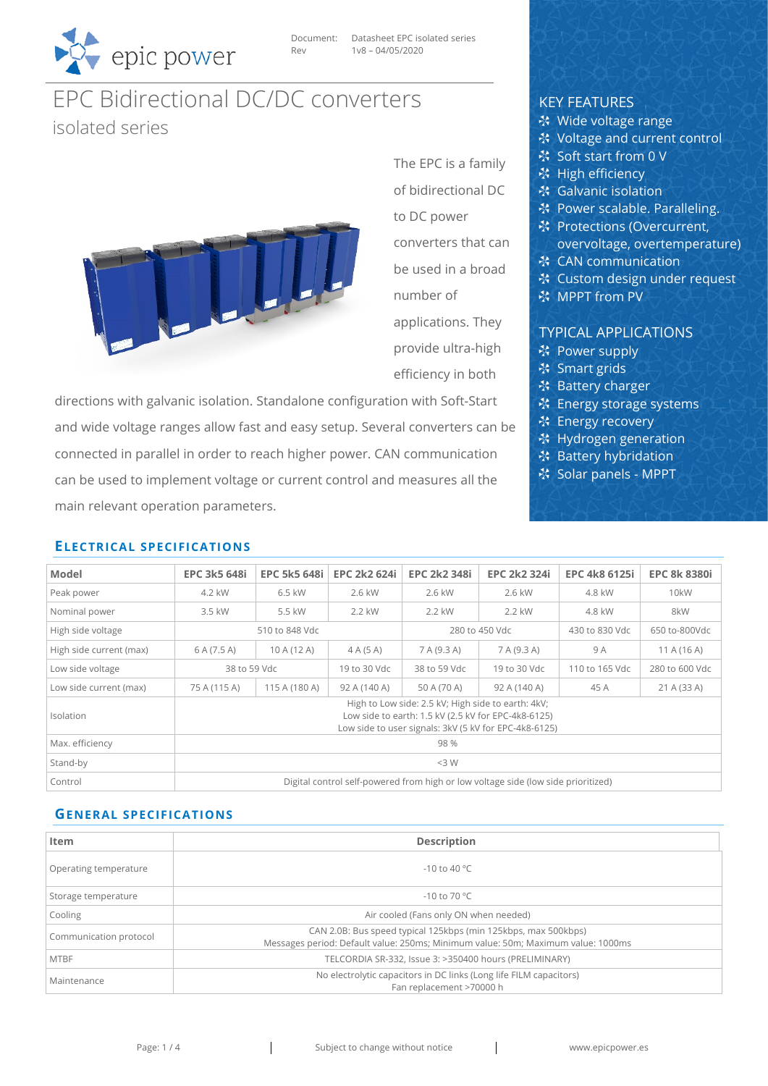

Document: Datasheet EPC isolated series Rev 1v8 – 04/05/2020

# EPC Bidirectional DC/DC converters isolated series



The EPC is a family of bidirectional DC to DC power converters that can be used in a broad number of applications. They provide ultra-high

efficiency in both

directions with galvanic isolation. Standalone configuration with Soft-Start and wide voltage ranges allow fast and easy setup. Several converters can be connected in parallel in order to reach higher power. CAN communication can be used to implement voltage or current control and measures all the main relevant operation parameters.

## KEY FEATURES

- ※ Wide voltage range
- ※ Voltage and current control
- Soft start from 0 V
- **※ High efficiency**
- **※ Galvanic isolation**
- ※ Power scalable. Paralleling.
- **※ Protections (Overcurrent,**
- overvoltage, overtemperature)
- **※ CAN communication**
- **※ Custom design under request**
- **※ MPPT from PV**

# TYPICAL APPLICATIONS

- ※ Power supply
- ※ Smart grids
- ※ Battery charger
- ※ Energy storage systems
- **※ Energy recovery**
- **※ Hydrogen generation**
- **参 Battery hybridation**
- Solar panels MPPT

| Model                   | <b>EPC 3k5 648i</b> | <b>EPC 5k5 648i</b> | <b>EPC 2k2 624i</b> | <b>EPC 2k2 348i</b>                                                                                       | <b>EPC 2k2 324i</b>                                                               | <b>EPC 4k8 6125i</b> | <b>EPC 8k 8380i</b> |  |  |
|-------------------------|---------------------|---------------------|---------------------|-----------------------------------------------------------------------------------------------------------|-----------------------------------------------------------------------------------|----------------------|---------------------|--|--|
| Peak power              | 4.2 kW              | 6.5 kW              | 2.6 kW              | 2.6 kW                                                                                                    | 2.6 kW                                                                            | 4.8 kW               | 10kW                |  |  |
| Nominal power           | 3.5 kW              | 5.5 kW              | 2.2 kW              | 2.2 kW                                                                                                    | 2.2 kW                                                                            | 4.8 kW               | 8kW                 |  |  |
| High side voltage       | 510 to 848 Vdc      |                     | 280 to 450 Vdc      |                                                                                                           | 430 to 830 Vdc                                                                    | 650 to-800Vdc        |                     |  |  |
| High side current (max) | 6 A (7.5 A)         | 10 A (12 A)         | 4A(5A)              | 7 A (9.3 A)                                                                                               | 7 A (9.3 A)                                                                       | 9 A                  | 11A(16A)            |  |  |
| Low side voltage        | 38 to 59 Vdc        |                     | 19 to 30 Vdc        | 38 to 59 Vdc                                                                                              | 19 to 30 Vdc                                                                      | 110 to 165 Vdc       | 280 to 600 Vdc      |  |  |
| Low side current (max)  | 75 A (115 A)        | 115 A (180 A)       | 92 A (140 A)        | 50 A (70 A)                                                                                               | 92 A (140 A)                                                                      | 45 A                 | 21 A (33 A)         |  |  |
| <b>Isolation</b>        |                     |                     |                     | High to Low side: 2.5 kV; High side to earth: 4kV;<br>Low side to earth: 1.5 kV (2.5 kV for EPC-4k8-6125) | Low side to user signals: 3kV (5 kV for EPC-4k8-6125)                             |                      |                     |  |  |
| Max. efficiency         |                     |                     |                     | 98 %                                                                                                      |                                                                                   |                      |                     |  |  |
| Stand-by                |                     |                     |                     | $<$ 3 W                                                                                                   |                                                                                   |                      |                     |  |  |
| Control                 |                     |                     |                     |                                                                                                           | Digital control self-powered from high or low voltage side (low side prioritized) |                      |                     |  |  |

# **GENERAL SPECIFICATIONS**

**ELECTRICAL SPECIFICATIONS**

| Item                   |                                                                                  |
|------------------------|----------------------------------------------------------------------------------|
|                        | <b>Description</b>                                                               |
| Operating temperature  | $-10$ to 40 °C                                                                   |
| Storage temperature    | $-10$ to 70 °C                                                                   |
| Cooling                | Air cooled (Fans only ON when needed)                                            |
| Communication protocol | CAN 2.0B: Bus speed typical 125kbps (min 125kbps, max 500kbps)                   |
|                        | Messages period: Default value: 250ms; Minimum value: 50m; Maximum value: 1000ms |
| <b>MTBF</b>            | TELCORDIA SR-332, Issue 3: >350400 hours (PRELIMINARY)                           |
| Maintenance            | No electrolytic capacitors in DC links (Long life FILM capacitors)               |
|                        | Fan replacement >70000 h                                                         |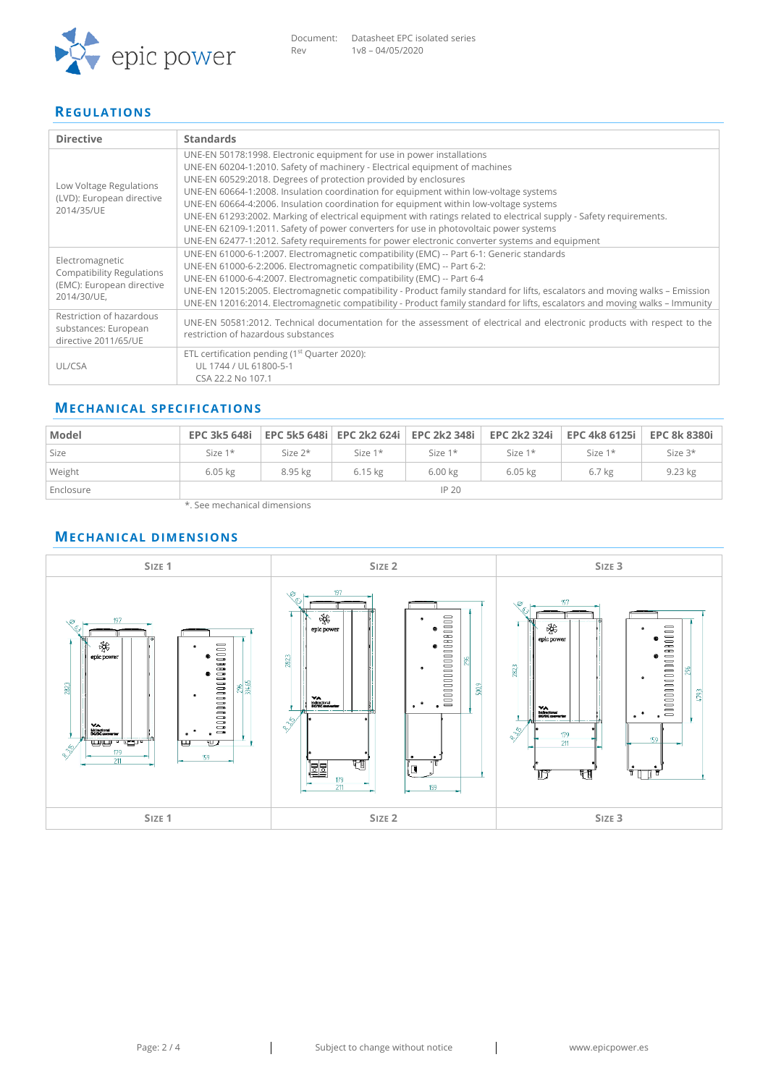

#### **REGULATIONS**

| <b>Directive</b>                                                                                | <b>Standards</b>                                                                                                                                                                                                                                                                                                                                                                                                                                                                                                                                                                                                                                                                                                            |
|-------------------------------------------------------------------------------------------------|-----------------------------------------------------------------------------------------------------------------------------------------------------------------------------------------------------------------------------------------------------------------------------------------------------------------------------------------------------------------------------------------------------------------------------------------------------------------------------------------------------------------------------------------------------------------------------------------------------------------------------------------------------------------------------------------------------------------------------|
| Low Voltage Regulations<br>(LVD): European directive<br>2014/35/UE                              | UNE-EN 50178:1998. Electronic equipment for use in power installations<br>UNE-EN 60204-1:2010. Safety of machinery - Electrical equipment of machines<br>UNE-EN 60529:2018. Degrees of protection provided by enclosures<br>UNE-EN 60664-1:2008. Insulation coordination for equipment within low-voltage systems<br>UNE-EN 60664-4:2006. Insulation coordination for equipment within low-voltage systems<br>UNE-EN 61293:2002. Marking of electrical equipment with ratings related to electrical supply - Safety requirements.<br>UNE-EN 62109-1:2011. Safety of power converters for use in photovoltaic power systems<br>UNE-EN 62477-1:2012. Safety requirements for power electronic converter systems and equipment |
| Electromagnetic<br><b>Compatibility Regulations</b><br>(EMC): European directive<br>2014/30/UE, | UNE-EN 61000-6-1:2007. Electromagnetic compatibility (EMC) -- Part 6-1: Generic standards<br>UNE-EN 61000-6-2:2006. Electromagnetic compatibility (EMC) -- Part 6-2:<br>UNE-EN 61000-6-4:2007. Electromagnetic compatibility (EMC) -- Part 6-4<br>UNE-EN 12015:2005. Electromagnetic compatibility - Product family standard for lifts, escalators and moving walks - Emission<br>UNE-EN 12016:2014. Electromagnetic compatibility - Product family standard for lifts, escalators and moving walks - Immunity                                                                                                                                                                                                              |
| Restriction of hazardous<br>substances: European<br>directive 2011/65/UE                        | UNE-EN 50581:2012. Technical documentation for the assessment of electrical and electronic products with respect to the<br>restriction of hazardous substances                                                                                                                                                                                                                                                                                                                                                                                                                                                                                                                                                              |
| UL/CSA                                                                                          | ETL certification pending (1 <sup>st</sup> Quarter 2020):<br>UL 1744 / UL 61800-5-1<br>CSA 22.2 No 107.1                                                                                                                                                                                                                                                                                                                                                                                                                                                                                                                                                                                                                    |

## **MECHANICAL SPECIFICATIONS**

| Model     | <b>EPC 3k5 648i</b> |            |           | EPC 5k5 648i   EPC 2k2 624i   EPC 2k2 348i |           | EPC 2k2 324i FPC 4k8 6125i FPC 8k 8380i |           |
|-----------|---------------------|------------|-----------|--------------------------------------------|-----------|-----------------------------------------|-----------|
| Size      | Size $1*$           | Size $2^*$ | Size $1*$ | Size $1*$                                  | Size $1*$ | Size $1*$                               | Size $3*$ |
| Weight    | $6.05$ kg           | 8.95 kg    | $6.15$ kg | 6.00 kg                                    | $6.05$ kg | 6.7 <sub>kg</sub>                       | 9.23 kg   |
| Enclosure |                     |            |           | IP <sub>20</sub>                           |           |                                         |           |

\*. See mechanical dimensions

## **MECHANICAL DIMENSIONS**

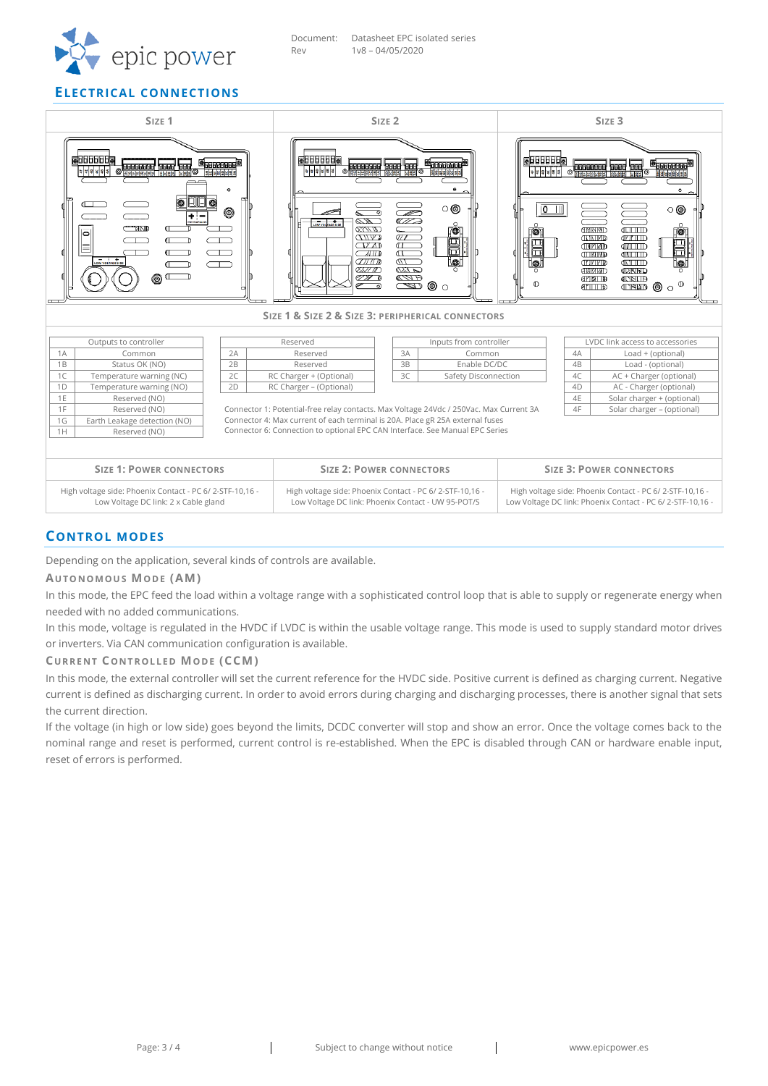

#### **ELECTRICAL CONNECTIONS**



#### **CONTROL MODES**

Depending on the application, several kinds of controls are available.

#### **AUTONOMOUS MODE (AM)**

In this mode, the EPC feed the load within a voltage range with a sophisticated control loop that is able to supply or regenerate energy when needed with no added communications.

In this mode, voltage is regulated in the HVDC if LVDC is within the usable voltage range. This mode is used to supply standard motor drives or inverters. Via CAN communication configuration is available.

#### **CURRENT CONTROLLED MODE (CCM)**

In this mode, the external controller will set the current reference for the HVDC side. Positive current is defined as charging current. Negative current is defined as discharging current. In order to avoid errors during charging and discharging processes, there is another signal that sets the current direction.

If the voltage (in high or low side) goes beyond the limits, DCDC converter will stop and show an error. Once the voltage comes back to the nominal range and reset is performed, current control is re-established. When the EPC is disabled through CAN or hardware enable input, reset of errors is performed.